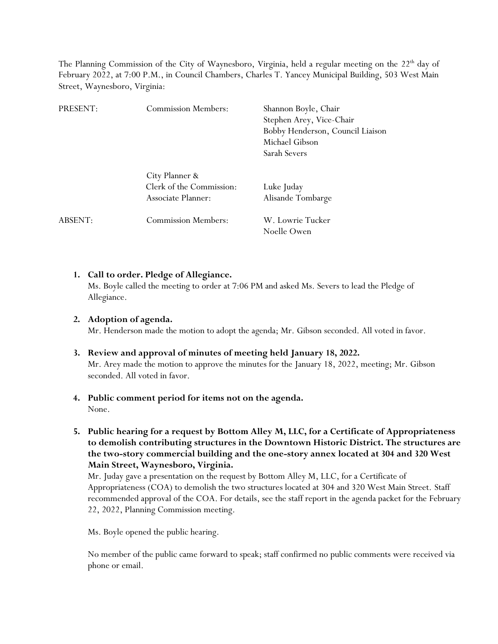The Planning Commission of the City of Waynesboro, Virginia, held a regular meeting on the  $22<sup>th</sup>$  day of February 2022, at 7:00 P.M., in Council Chambers, Charles T. Yancey Municipal Building, 503 West Main Street, Waynesboro, Virginia:

| PRESENT: | <b>Commission Members:</b>                                       | Shannon Boyle, Chair<br>Stephen Arey, Vice-Chair<br>Bobby Henderson, Council Liaison<br>Michael Gibson<br>Sarah Severs |
|----------|------------------------------------------------------------------|------------------------------------------------------------------------------------------------------------------------|
|          | City Planner &<br>Clerk of the Commission:<br>Associate Planner: | Luke Juday<br>Alisande Tombarge                                                                                        |
| ABSENT:  | <b>Commission Members:</b>                                       | W. Lowrie Tucker<br>Noelle Owen                                                                                        |

# **1. Call to order. Pledge of Allegiance.**

Ms. Boyle called the meeting to order at 7:06 PM and asked Ms. Severs to lead the Pledge of Allegiance.

# **2. Adoption of agenda.**

Mr. Henderson made the motion to adopt the agenda; Mr. Gibson seconded. All voted in favor.

**3. Review and approval of minutes of meeting held January 18, 2022.** Mr. Arey made the motion to approve the minutes for the January 18, 2022, meeting; Mr. Gibson seconded. All voted in favor.

#### **4. Public comment period for items not on the agenda.** None.

**5. Public hearing for a request by Bottom Alley M, LLC, for a Certificate of Appropriateness to demolish contributing structures in the Downtown Historic District. The structures are the two-story commercial building and the one-story annex located at 304 and 320 West Main Street, Waynesboro, Virginia.**

Mr. Juday gave a presentation on the request by Bottom Alley M, LLC, for a Certificate of Appropriateness (COA) to demolish the two structures located at 304 and 320 West Main Street. Staff recommended approval of the COA. For details, see the staff report in the agenda packet for the February 22, 2022, Planning Commission meeting.

Ms. Boyle opened the public hearing.

No member of the public came forward to speak; staff confirmed no public comments were received via phone or email.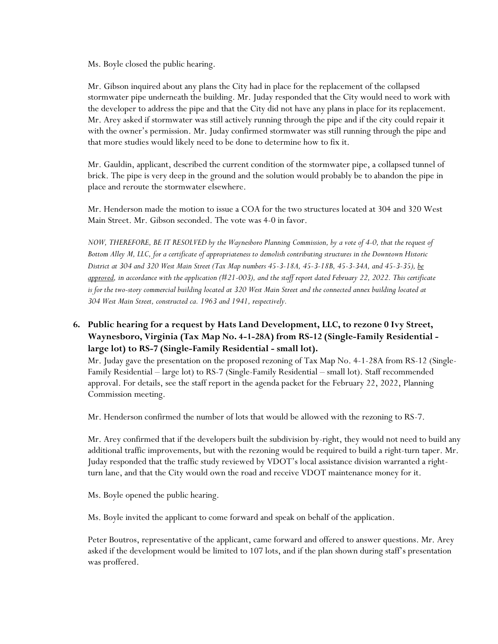Ms. Boyle closed the public hearing.

Mr. Gibson inquired about any plans the City had in place for the replacement of the collapsed stormwater pipe underneath the building. Mr. Juday responded that the City would need to work with the developer to address the pipe and that the City did not have any plans in place for its replacement. Mr. Arey asked if stormwater was still actively running through the pipe and if the city could repair it with the owner's permission. Mr. Juday confirmed stormwater was still running through the pipe and that more studies would likely need to be done to determine how to fix it.

Mr. Gauldin, applicant, described the current condition of the stormwater pipe, a collapsed tunnel of brick. The pipe is very deep in the ground and the solution would probably be to abandon the pipe in place and reroute the stormwater elsewhere.

Mr. Henderson made the motion to issue a COA for the two structures located at 304 and 320 West Main Street. Mr. Gibson seconded. The vote was 4-0 in favor.

*NOW, THEREFORE, BE IT RESOLVED by the Waynesboro Planning Commission, by a vote of 4-0, that the request of Bottom Alley M, LLC, for a certificate of appropriateness to demolish contributing structures in the Downtown Historic District at 304 and 320 West Main Street (Tax Map numbers 45-3-18A, 45-3-18B, 45-3-34A, and 45-3-35), be approved, in accordance with the application (#21-003), and the staff report dated February 22, 2022. This certificate*  is for the two-story commercial building located at 320 West Main Street and the connected annex building located at *304 West Main Street, constructed ca. 1963 and 1941, respectively.*

**6. Public hearing for a request by Hats Land Development, LLC, to rezone 0 Ivy Street, Waynesboro, Virginia (Tax Map No. 4-1-28A) from RS-12 (Single-Family Residential large lot) to RS-7 (Single-Family Residential - small lot).**

Mr. Juday gave the presentation on the proposed rezoning of Tax Map No. 4-1-28A from RS-12 (Single-Family Residential – large lot) to RS-7 (Single-Family Residential – small lot). Staff recommended approval. For details, see the staff report in the agenda packet for the February 22, 2022, Planning Commission meeting.

Mr. Henderson confirmed the number of lots that would be allowed with the rezoning to RS-7.

Mr. Arey confirmed that if the developers built the subdivision by-right, they would not need to build any additional traffic improvements, but with the rezoning would be required to build a right-turn taper. Mr. Juday responded that the traffic study reviewed by VDOT's local assistance division warranted a rightturn lane, and that the City would own the road and receive VDOT maintenance money for it.

Ms. Boyle opened the public hearing.

Ms. Boyle invited the applicant to come forward and speak on behalf of the application.

Peter Boutros, representative of the applicant, came forward and offered to answer questions. Mr. Arey asked if the development would be limited to 107 lots, and if the plan shown during staff's presentation was proffered.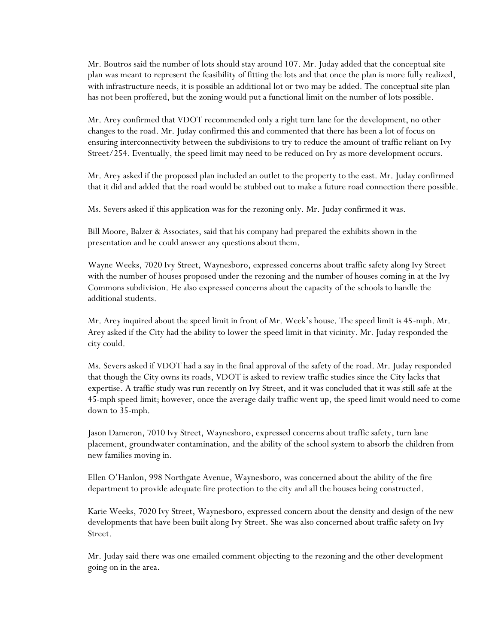Mr. Boutros said the number of lots should stay around 107. Mr. Juday added that the conceptual site plan was meant to represent the feasibility of fitting the lots and that once the plan is more fully realized, with infrastructure needs, it is possible an additional lot or two may be added. The conceptual site plan has not been proffered, but the zoning would put a functional limit on the number of lots possible.

Mr. Arey confirmed that VDOT recommended only a right turn lane for the development, no other changes to the road. Mr. Juday confirmed this and commented that there has been a lot of focus on ensuring interconnectivity between the subdivisions to try to reduce the amount of traffic reliant on Ivy Street/254. Eventually, the speed limit may need to be reduced on Ivy as more development occurs.

Mr. Arey asked if the proposed plan included an outlet to the property to the east. Mr. Juday confirmed that it did and added that the road would be stubbed out to make a future road connection there possible.

Ms. Severs asked if this application was for the rezoning only. Mr. Juday confirmed it was.

Bill Moore, Balzer & Associates, said that his company had prepared the exhibits shown in the presentation and he could answer any questions about them.

Wayne Weeks, 7020 Ivy Street, Waynesboro, expressed concerns about traffic safety along Ivy Street with the number of houses proposed under the rezoning and the number of houses coming in at the Ivy Commons subdivision. He also expressed concerns about the capacity of the schools to handle the additional students.

Mr. Arey inquired about the speed limit in front of Mr. Week's house. The speed limit is 45-mph. Mr. Arey asked if the City had the ability to lower the speed limit in that vicinity. Mr. Juday responded the city could.

Ms. Severs asked if VDOT had a say in the final approval of the safety of the road. Mr. Juday responded that though the City owns its roads, VDOT is asked to review traffic studies since the City lacks that expertise. A traffic study was run recently on Ivy Street, and it was concluded that it was still safe at the 45-mph speed limit; however, once the average daily traffic went up, the speed limit would need to come down to 35-mph.

Jason Dameron, 7010 Ivy Street, Waynesboro, expressed concerns about traffic safety, turn lane placement, groundwater contamination, and the ability of the school system to absorb the children from new families moving in.

Ellen O'Hanlon, 998 Northgate Avenue, Waynesboro, was concerned about the ability of the fire department to provide adequate fire protection to the city and all the houses being constructed.

Karie Weeks, 7020 Ivy Street, Waynesboro, expressed concern about the density and design of the new developments that have been built along Ivy Street. She was also concerned about traffic safety on Ivy Street.

Mr. Juday said there was one emailed comment objecting to the rezoning and the other development going on in the area.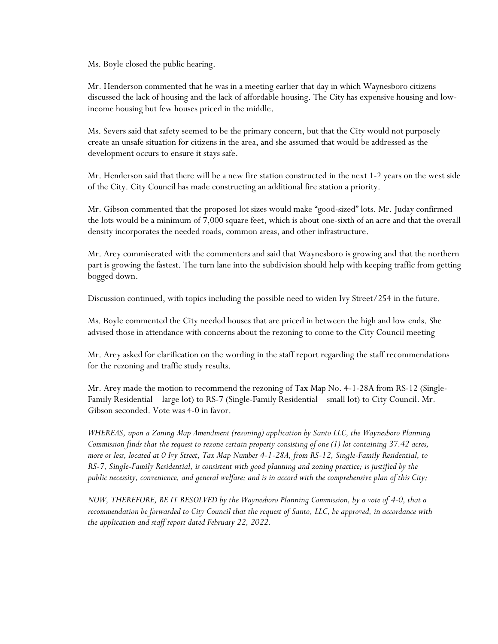Ms. Boyle closed the public hearing.

Mr. Henderson commented that he was in a meeting earlier that day in which Waynesboro citizens discussed the lack of housing and the lack of affordable housing. The City has expensive housing and lowincome housing but few houses priced in the middle.

Ms. Severs said that safety seemed to be the primary concern, but that the City would not purposely create an unsafe situation for citizens in the area, and she assumed that would be addressed as the development occurs to ensure it stays safe.

Mr. Henderson said that there will be a new fire station constructed in the next 1-2 years on the west side of the City. City Council has made constructing an additional fire station a priority.

Mr. Gibson commented that the proposed lot sizes would make "good-sized" lots. Mr. Juday confirmed the lots would be a minimum of 7,000 square feet, which is about one-sixth of an acre and that the overall density incorporates the needed roads, common areas, and other infrastructure.

Mr. Arey commiserated with the commenters and said that Waynesboro is growing and that the northern part is growing the fastest. The turn lane into the subdivision should help with keeping traffic from getting bogged down.

Discussion continued, with topics including the possible need to widen Ivy Street/254 in the future.

Ms. Boyle commented the City needed houses that are priced in between the high and low ends. She advised those in attendance with concerns about the rezoning to come to the City Council meeting

Mr. Arey asked for clarification on the wording in the staff report regarding the staff recommendations for the rezoning and traffic study results.

Mr. Arey made the motion to recommend the rezoning of Tax Map No. 4-1-28A from RS-12 (Single-Family Residential – large lot) to RS-7 (Single-Family Residential – small lot) to City Council. Mr. Gibson seconded. Vote was 4-0 in favor.

*WHEREAS, upon a Zoning Map Amendment (rezoning) application by Santo LLC, the Waynesboro Planning Commission finds that the request to rezone certain property consisting of one (1) lot containing 37.42 acres, more or less, located at 0 Ivy Street, Tax Map Number 4-1-28A, from RS-12, Single-Family Residential, to RS-7, Single-Family Residential, is consistent with good planning and zoning practice; is justified by the public necessity, convenience, and general welfare; and is in accord with the comprehensive plan of this City;*

*NOW, THEREFORE, BE IT RESOLVED by the Waynesboro Planning Commission, by a vote of 4-0, that a recommendation be forwarded to City Council that the request of Santo, LLC, be approved, in accordance with the application and staff report dated February 22, 2022.*